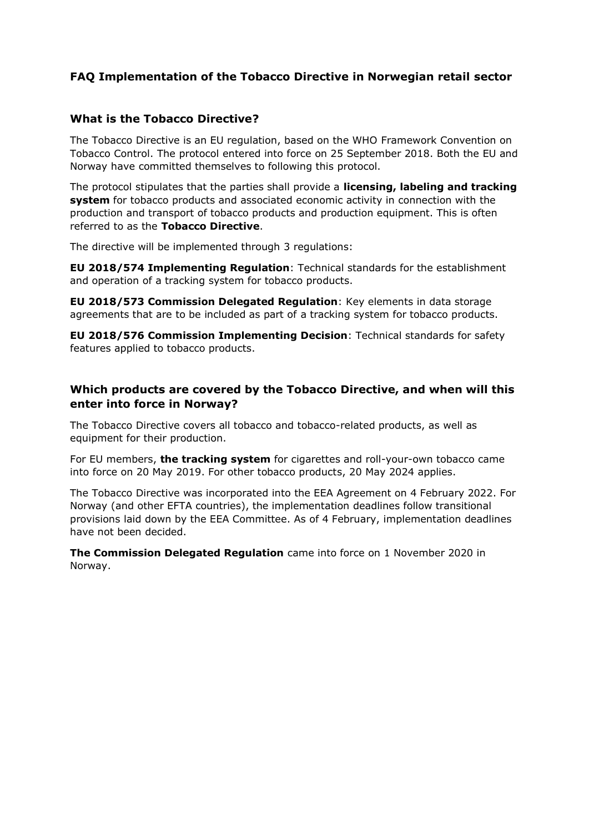## **FAQ Implementation of the Tobacco Directive in Norwegian retail sector**

### **What is the Tobacco Directive?**

The Tobacco Directive is an EU regulation, based on the WHO Framework Convention on Tobacco Control. The protocol entered into force on 25 September 2018. Both the EU and Norway have committed themselves to following this protocol.

The protocol stipulates that the parties shall provide a **licensing, labeling and tracking system** for tobacco products and associated economic activity in connection with the production and transport of tobacco products and production equipment. This is often referred to as the **Tobacco Directive**.

The directive will be implemented through 3 regulations:

**EU 2018/574 Implementing Regulation**: Technical standards for the establishment and operation of a tracking system for tobacco products.

**EU 2018/573 Commission Delegated Regulation**: Key elements in data storage agreements that are to be included as part of a tracking system for tobacco products.

**EU 2018/576 Commission Implementing Decision**: Technical standards for safety features applied to tobacco products.

### **Which products are covered by the Tobacco Directive, and when will this enter into force in Norway?**

The Tobacco Directive covers all tobacco and tobacco-related products, as well as equipment for their production.

For EU members, **the tracking system** for cigarettes and roll-your-own tobacco came into force on 20 May 2019. For other tobacco products, 20 May 2024 applies.

The Tobacco Directive was incorporated into the EEA Agreement on 4 February 2022. For Norway (and other EFTA countries), the implementation deadlines follow transitional provisions laid down by the EEA Committee. As of 4 February, implementation deadlines have not been decided.

**The Commission Delegated Regulation** came into force on 1 November 2020 in Norway.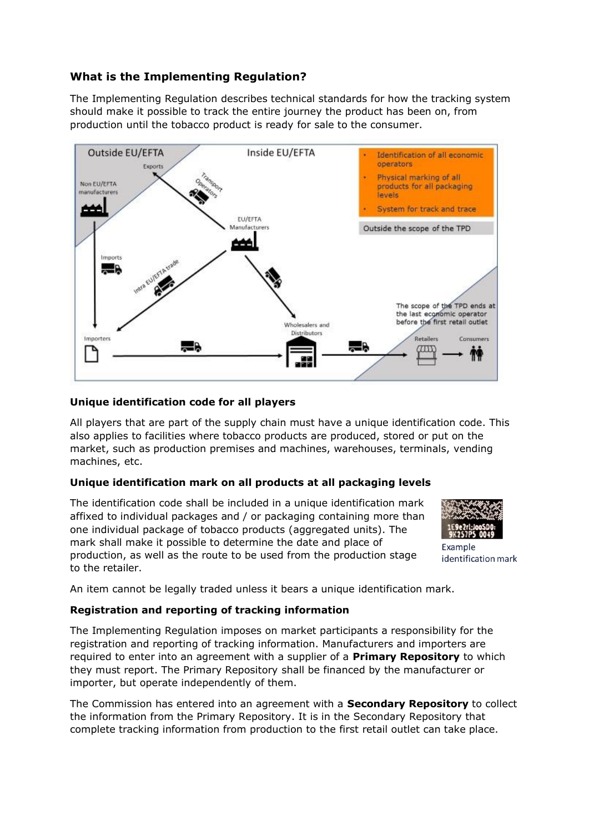## **What is the Implementing Regulation?**

The Implementing Regulation describes technical standards for how the tracking system should make it possible to track the entire journey the product has been on, from production until the tobacco product is ready for sale to the consumer.



#### **Unique identification code for all players**

All players that are part of the supply chain must have a unique identification code. This also applies to facilities where tobacco products are produced, stored or put on the market, such as production premises and machines, warehouses, terminals, vending machines, etc.

#### **Unique identification mark on all products at all packaging levels**

The identification code shall be included in a unique identification mark affixed to individual packages and / or packaging containing more than one individual package of tobacco products (aggregated units). The mark shall make it possible to determine the date and place of production, as well as the route to be used from the production stage to the retailer.



Example identification mark

An item cannot be legally traded unless it bears a unique identification mark.

#### **Registration and reporting of tracking information**

The Implementing Regulation imposes on market participants a responsibility for the registration and reporting of tracking information. Manufacturers and importers are required to enter into an agreement with a supplier of a **Primary Repository** to which they must report. The Primary Repository shall be financed by the manufacturer or importer, but operate independently of them.

The Commission has entered into an agreement with a **Secondary Repository** to collect the information from the Primary Repository. It is in the Secondary Repository that complete tracking information from production to the first retail outlet can take place.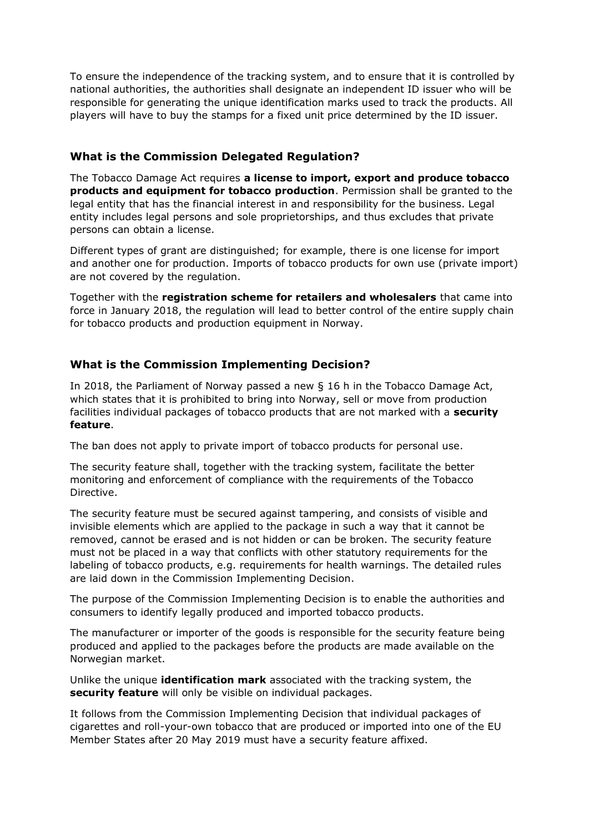To ensure the independence of the tracking system, and to ensure that it is controlled by national authorities, the authorities shall designate an independent ID issuer who will be responsible for generating the unique identification marks used to track the products. All players will have to buy the stamps for a fixed unit price determined by the ID issuer.

### **What is the Commission Delegated Regulation?**

The Tobacco Damage Act requires **a license to import, export and produce tobacco products and equipment for tobacco production**. Permission shall be granted to the legal entity that has the financial interest in and responsibility for the business. Legal entity includes legal persons and sole proprietorships, and thus excludes that private persons can obtain a license.

Different types of grant are distinguished; for example, there is one license for import and another one for production. Imports of tobacco products for own use (private import) are not covered by the regulation.

Together with the **registration scheme for retailers and wholesalers** that came into force in January 2018, the regulation will lead to better control of the entire supply chain for tobacco products and production equipment in Norway.

# **What is the Commission Implementing Decision?**

In 2018, the Parliament of Norway passed a new § 16 h in the Tobacco Damage Act, which states that it is prohibited to bring into Norway, sell or move from production facilities individual packages of tobacco products that are not marked with a **security feature**.

The ban does not apply to private import of tobacco products for personal use.

The security feature shall, together with the tracking system, facilitate the better monitoring and enforcement of compliance with the requirements of the Tobacco Directive.

The security feature must be secured against tampering, and consists of visible and invisible elements which are applied to the package in such a way that it cannot be removed, cannot be erased and is not hidden or can be broken. The security feature must not be placed in a way that conflicts with other statutory requirements for the labeling of tobacco products, e.g. requirements for health warnings. The detailed rules are laid down in the Commission Implementing Decision.

The purpose of the Commission Implementing Decision is to enable the authorities and consumers to identify legally produced and imported tobacco products.

The manufacturer or importer of the goods is responsible for the security feature being produced and applied to the packages before the products are made available on the Norwegian market.

Unlike the unique **identification mark** associated with the tracking system, the **security feature** will only be visible on individual packages.

It follows from the Commission Implementing Decision that individual packages of cigarettes and roll-your-own tobacco that are produced or imported into one of the EU Member States after 20 May 2019 must have a security feature affixed.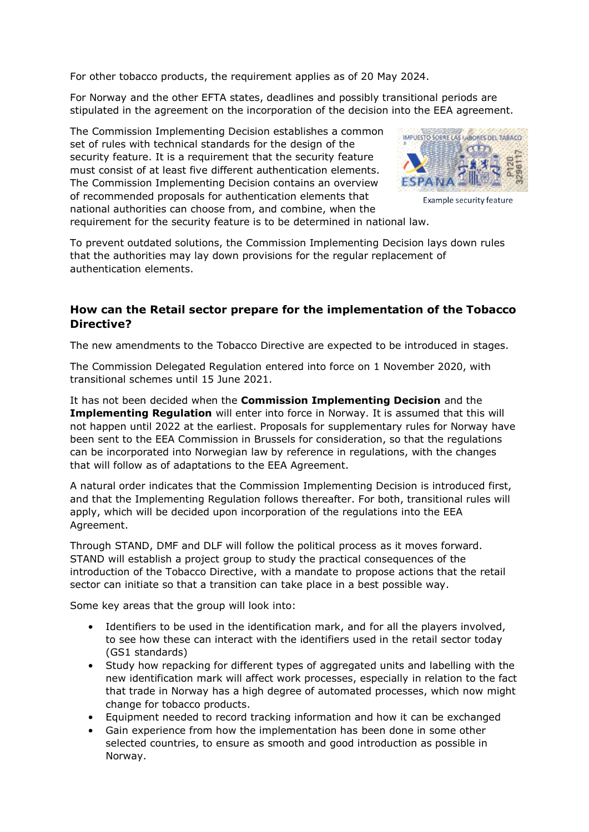For other tobacco products, the requirement applies as of 20 May 2024.

For Norway and the other EFTA states, deadlines and possibly transitional periods are stipulated in the agreement on the incorporation of the decision into the EEA agreement.

The Commission Implementing Decision establishes a common set of rules with technical standards for the design of the security feature. It is a requirement that the security feature must consist of at least five different authentication elements. The Commission Implementing Decision contains an overview of recommended proposals for authentication elements that national authorities can choose from, and combine, when the



Example security feature

requirement for the security feature is to be determined in national law.

To prevent outdated solutions, the Commission Implementing Decision lays down rules that the authorities may lay down provisions for the regular replacement of authentication elements.

### **How can the Retail sector prepare for the implementation of the Tobacco Directive?**

The new amendments to the Tobacco Directive are expected to be introduced in stages.

The Commission Delegated Regulation entered into force on 1 November 2020, with transitional schemes until 15 June 2021.

It has not been decided when the **Commission Implementing Decision** and the **Implementing Regulation** will enter into force in Norway. It is assumed that this will not happen until 2022 at the earliest. Proposals for supplementary rules for Norway have been sent to the EEA Commission in Brussels for consideration, so that the regulations can be incorporated into Norwegian law by reference in regulations, with the changes that will follow as of adaptations to the EEA Agreement.

A natural order indicates that the Commission Implementing Decision is introduced first, and that the Implementing Regulation follows thereafter. For both, transitional rules will apply, which will be decided upon incorporation of the regulations into the EEA Agreement.

Through STAND, DMF and DLF will follow the political process as it moves forward. STAND will establish a project group to study the practical consequences of the introduction of the Tobacco Directive, with a mandate to propose actions that the retail sector can initiate so that a transition can take place in a best possible way.

Some key areas that the group will look into:

- Identifiers to be used in the identification mark, and for all the players involved, to see how these can interact with the identifiers used in the retail sector today (GS1 standards)
- Study how repacking for different types of aggregated units and labelling with the new identification mark will affect work processes, especially in relation to the fact that trade in Norway has a high degree of automated processes, which now might change for tobacco products.
- Equipment needed to record tracking information and how it can be exchanged
- Gain experience from how the implementation has been done in some other selected countries, to ensure as smooth and good introduction as possible in Norway.